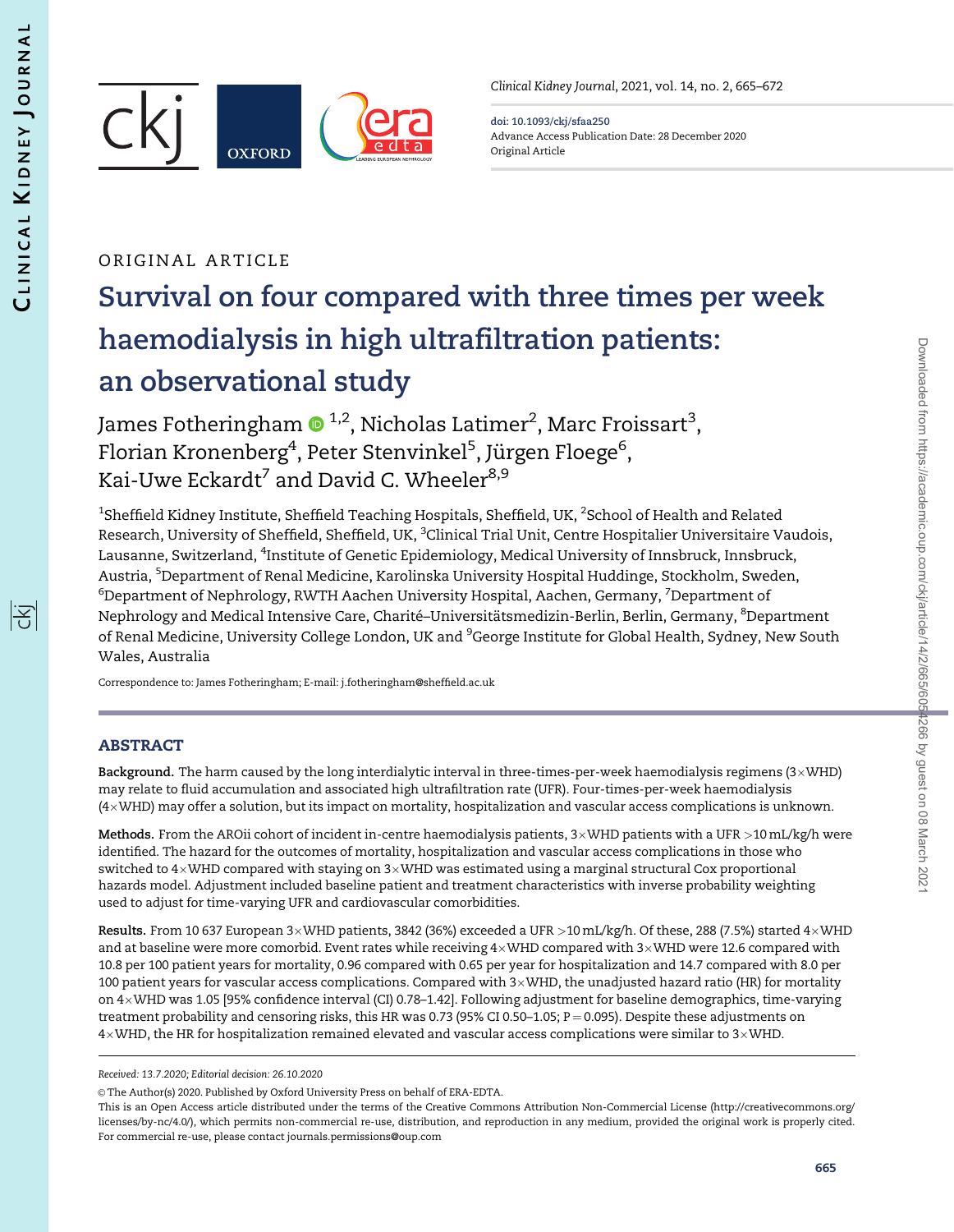

Clinical Kidney Journal, 2021, vol. 14, no. 2, 665–672

doi: 10.1093/ckj/sfaa250 Advance Access Publication Date: 28 December 2020 Original Article

## ORIGINAL ARTICLE

# Survival on four compared with three times per week haemodialysis in high ultrafiltration patients: an observational study

James Fotheringham  $\bullet$  <sup>1,2</sup>, Nicholas Latimer<sup>2</sup>, Marc Froissart<sup>3</sup>, Florian Kronenberg<sup>4</sup>, Peter Stenvinkel<sup>5</sup>, Jürgen Floege<sup>6</sup>, Kai-Uwe Eckardt<sup>7</sup> and David C. Wheeler<sup>8,9</sup>

 $^{\rm 1}$ Sheffield Kidney Institute, Sheffield Teaching Hospitals, Sheffield, UK,  $^{\rm 2}$ School of Health and Related Research, University of Sheffield, Sheffield, UK, <sup>3</sup>Clinical Trial Unit, Centre Hospitalier Universitaire Vaudois, Lausanne, Switzerland, <sup>4</sup>Institute of Genetic Epidemiology, Medical University of Innsbruck, Innsbruck, Austria, <sup>5</sup>Department of Renal Medicine, Karolinska University Hospital Huddinge, Stockholm, Sweden,  $^6$ Department of Nephrology, RWTH Aachen University Hospital, Aachen, Germany,  $^7$ Department of Nephrology and Medical Intensive Care, Charité–Universitätsmedizin-Berlin, Berlin, Germany, <sup>8</sup>Department of Renal Medicine, University College London, UK and <sup>9</sup>George Institute for Global Health, Sydney, New South Wales, Australia

Correspondence to: James Fotheringham; E-mail: j.fotheringham@sheffield.ac.uk

## ABSTRACT

**Background.** The harm caused by the long interdialytic interval in three-times-per-week haemodialysis regimens (3×WHD) may relate to fluid accumulation and associated high ultrafiltration rate (UFR). Four-times-per-week haemodialysis (4-WHD) may offer a solution, but its impact on mortality, hospitalization and vascular access complications is unknown.

**Methods.** From the AROii cohort of incident in-centre haemodialysis patients, 3×WHD patients with a UFR >10 mL/kg/h were identified. The hazard for the outcomes of mortality, hospitalization and vascular access complications in those who switched to 4×WHD compared with staying on 3×WHD was estimated using a marginal structural Cox proportional hazards model. Adjustment included baseline patient and treatment characteristics with inverse probability weighting used to adjust for time-varying UFR and cardiovascular comorbidities.

Results. From 10 637 European 3×WHD patients, 3842 (36%) exceeded a UFR >10 mL/kg/h. Of these, 288 (7.5%) started 4×WHD and at baseline were more comorbid. Event rates while receiving 4×WHD compared with 3×WHD were 12.6 compared with 10.8 per 100 patient years for mortality, 0.96 compared with 0.65 per year for hospitalization and 14.7 compared with 8.0 per 100 patient years for vascular access complications. Compared with 3-WHD, the unadjusted hazard ratio (HR) for mortality on 4-WHD was 1.05 [95% confidence interval (CI) 0.78–1.42]. Following adjustment for baseline demographics, time-varying treatment probability and censoring risks, this HR was 0.73 (95% CI 0.50–1.05;  $P = 0.095$ ). Despite these adjustments on 4×WHD, the HR for hospitalization remained elevated and vascular access complications were similar to 3×WHD.

Received: 13.7.2020; Editorial decision: 26.10.2020

<sup>©</sup> The Author(s) 2020. Published by Oxford University Press on behalf of ERA-EDTA.

This is an Open Access article distributed under the terms of the Creative Commons Attribution Non-Commercial License (http://creativecommons.org/ licenses/by-nc/4.0/), which permits non-commercial re-use, distribution, and reproduction in any medium, provided the original work is properly cited. For commercial re-use, please contact journals.permissions@oup.com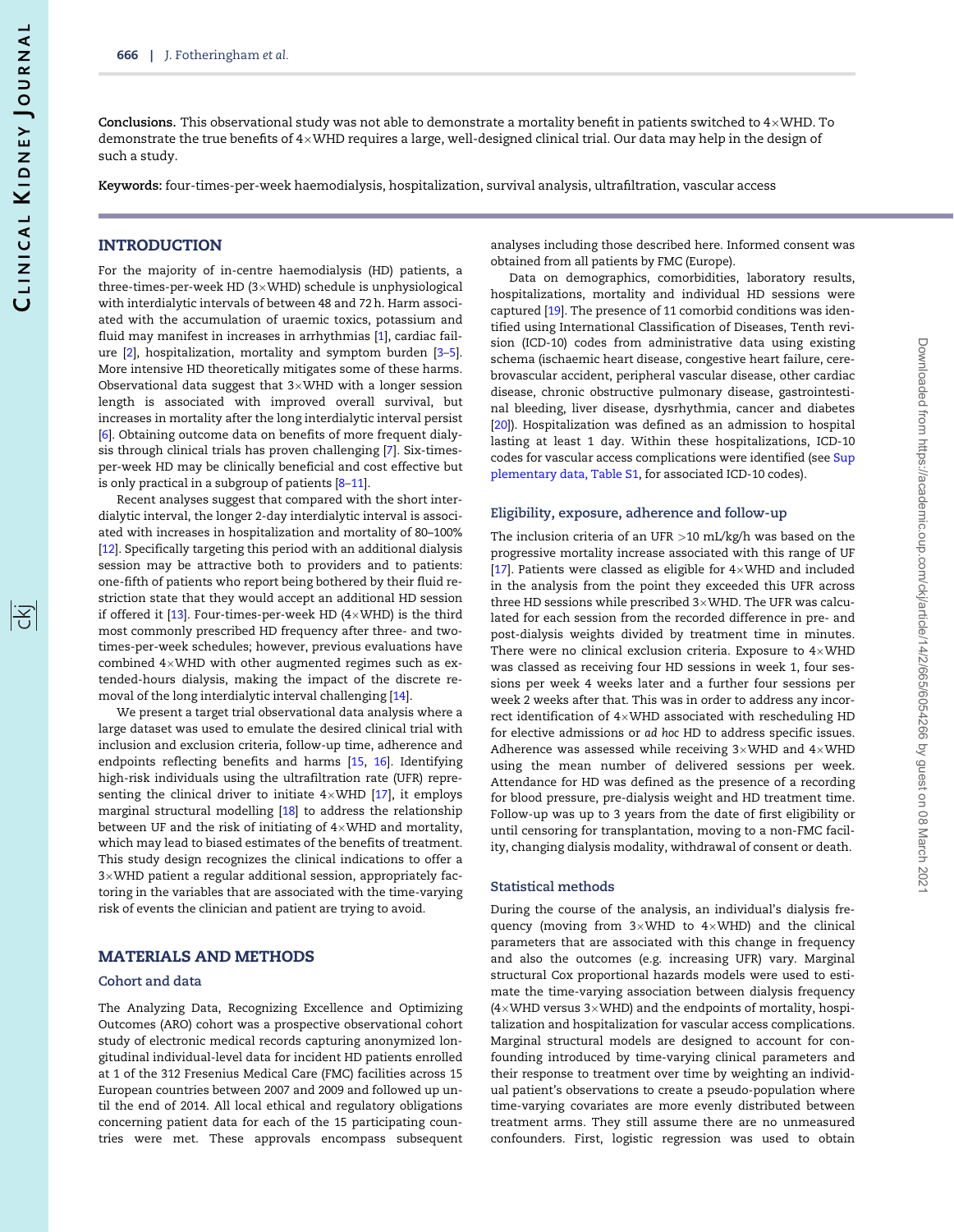序

<span id="page-1-0"></span>**Conclusions.** This observational study was not able to demonstrate a mortality benefit in patients switched to 4×WHD. To demonstrate the true benefits of 4×WHD requires a large, well-designed clinical trial. Our data may help in the design of such a study.

Keywords: four-times-per-week haemodialysis, hospitalization, survival analysis, ultrafiltration, vascular access

## **INTRODUCTION**

For the majority of in-centre haemodialysis (HD) patients, a three-times-per-week HD (3 $\times$ WHD) schedule is unphysiological with interdialytic intervals of between 48 and 72 h. Harm associated with the accumulation of uraemic toxics, potassium and fluid may manifest in increases in arrhythmias [[1\]](#page-6-0), cardiac failure [\[2](#page-6-0)], hospitalization, mortality and symptom burden [[3–5\]](#page-6-0). More intensive HD theoretically mitigates some of these harms. Observational data suggest that 3 $\times$ WHD with a longer session length is associated with improved overall survival, but increases in mortality after the long interdialytic interval persist [\[6\]](#page-6-0). Obtaining outcome data on benefits of more frequent dialysis through clinical trials has proven challenging [\[7\]](#page-6-0). Six-timesper-week HD may be clinically beneficial and cost effective but is only practical in a subgroup of patients [\[8–11\]](#page-6-0).

Recent analyses suggest that compared with the short interdialytic interval, the longer 2-day interdialytic interval is associated with increases in hospitalization and mortality of 80–100% [\[12\]](#page-6-0). Specifically targeting this period with an additional dialysis session may be attractive both to providers and to patients: one-fifth of patients who report being bothered by their fluid restriction state that they would accept an additional HD session if offered it [[13\]](#page-6-0). Four-times-per-week HD (4 $\times$ WHD) is the third most commonly prescribed HD frequency after three- and twotimes-per-week schedules; however, previous evaluations have combined  $4{\times}$ WHD with other augmented regimes such as extended-hours dialysis, making the impact of the discrete removal of the long interdialytic interval challenging [\[14\]](#page-6-0).

We present a target trial observational data analysis where a large dataset was used to emulate the desired clinical trial with inclusion and exclusion criteria, follow-up time, adherence and endpoints reflecting benefits and harms [[15,](#page-6-0) [16](#page-6-0)]. Identifying high-risk individuals using the ultrafiltration rate (UFR) representing the clinical driver to initiate  $4{\times}$ WHD [[17](#page-6-0)], it employs marginal structural modelling [\[18\]](#page-6-0) to address the relationship between UF and the risk of initiating of  $4{\times}$ WHD and mortality, which may lead to biased estimates of the benefits of treatment. This study design recognizes the clinical indications to offer a  $3{\times}$ WHD patient a regular additional session, appropriately factoring in the variables that are associated with the time-varying risk of events the clinician and patient are trying to avoid.

#### MATERIALS AND METHODS

#### Cohort and data

The Analyzing Data, Recognizing Excellence and Optimizing Outcomes (ARO) cohort was a prospective observational cohort study of electronic medical records capturing anonymized longitudinal individual-level data for incident HD patients enrolled at 1 of the 312 Fresenius Medical Care (FMC) facilities across 15 European countries between 2007 and 2009 and followed up until the end of 2014. All local ethical and regulatory obligations concerning patient data for each of the 15 participating countries were met. These approvals encompass subsequent

analyses including those described here. Informed consent was obtained from all patients by FMC (Europe).

Data on demographics, comorbidities, laboratory results, hospitalizations, mortality and individual HD sessions were captured [[19](#page-6-0)]. The presence of 11 comorbid conditions was identified using International Classification of Diseases, Tenth revision (ICD-10) codes from administrative data using existing schema (ischaemic heart disease, congestive heart failure, cerebrovascular accident, peripheral vascular disease, other cardiac disease, chronic obstructive pulmonary disease, gastrointestinal bleeding, liver disease, dysrhythmia, cancer and diabetes [\[20\]](#page-6-0)). Hospitalization was defined as an admission to hospital lasting at least 1 day. Within these hospitalizations, ICD-10 codes for vascular access complications were identified (see [Sup](https://academic.oup.com/ckjarticle-lookup/doi/10.1093/ckj/sfaa250#supplementary-data) [plementary data, Table S1](https://academic.oup.com/ckjarticle-lookup/doi/10.1093/ckj/sfaa250#supplementary-data), for associated ICD-10 codes).

#### Eligibility, exposure, adherence and follow-up

The inclusion criteria of an UFR >10 mL/kg/h was based on the progressive mortality increase associated with this range of UF [\[17\]](#page-6-0). Patients were classed as eligible for  $4\times$ WHD and included in the analysis from the point they exceeded this UFR across three HD sessions while prescribed  $3\times$ WHD. The UFR was calculated for each session from the recorded difference in pre- and post-dialysis weights divided by treatment time in minutes. There were no clinical exclusion criteria. Exposure to  $4\times$ WHD was classed as receiving four HD sessions in week 1, four sessions per week 4 weeks later and a further four sessions per week 2 weeks after that. This was in order to address any incorrect identification of  $4\times$ WHD associated with rescheduling HD for elective admissions or ad hoc HD to address specific issues. Adherence was assessed while receiving  $3\times$ WHD and  $4\times$ WHD using the mean number of delivered sessions per week. Attendance for HD was defined as the presence of a recording for blood pressure, pre-dialysis weight and HD treatment time. Follow-up was up to 3 years from the date of first eligibility or until censoring for transplantation, moving to a non-FMC facility, changing dialysis modality, withdrawal of consent or death.

#### Statistical methods

During the course of the analysis, an individual's dialysis frequency (moving from  $3\times$ WHD to  $4\times$ WHD) and the clinical parameters that are associated with this change in frequency and also the outcomes (e.g. increasing UFR) vary. Marginal structural Cox proportional hazards models were used to estimate the time-varying association between dialysis frequency (4 $\times$ WHD versus 3 $\times$ WHD) and the endpoints of mortality, hospitalization and hospitalization for vascular access complications. Marginal structural models are designed to account for confounding introduced by time-varying clinical parameters and their response to treatment over time by weighting an individual patient's observations to create a pseudo-population where time-varying covariates are more evenly distributed between treatment arms. They still assume there are no unmeasured confounders. First, logistic regression was used to obtain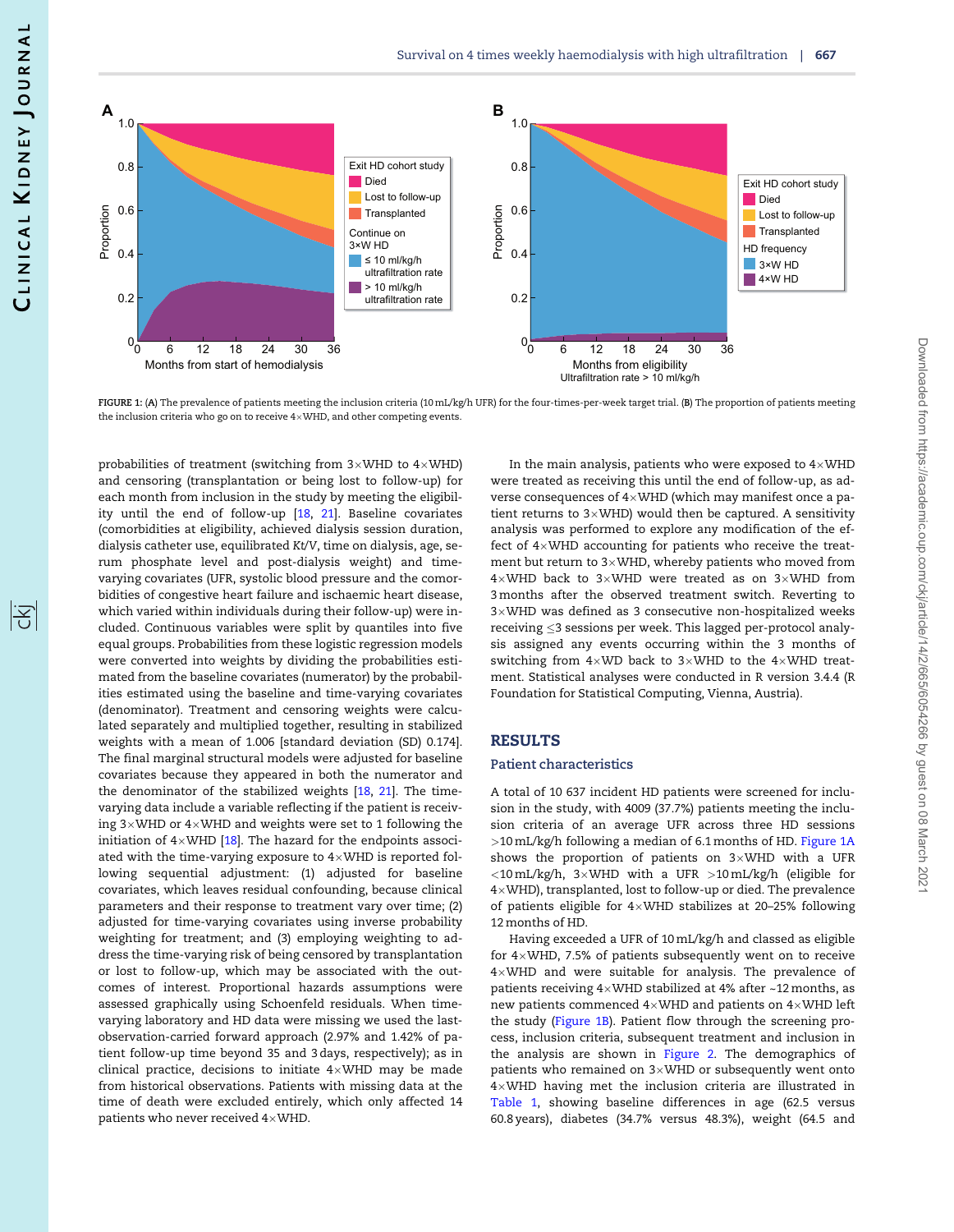<span id="page-2-0"></span>

FIGURE 1: (A) The prevalence of patients meeting the inclusion criteria (10 mL/kg/h UFR) for the four-times-per-week target trial. (B) The proportion of patients meeting the inclusion criteria who go on to receive  $4{\times}$ WHD, and other competing events.

probabilities of treatment (switching from 3 $\times$ WHD to 4 $\times$ WHD) and censoring (transplantation or being lost to follow-up) for each month from inclusion in the study by meeting the eligibility until the end of follow-up [[18](#page-6-0), [21\]](#page-6-0). Baseline covariates (comorbidities at eligibility, achieved dialysis session duration, dialysis catheter use, equilibrated Kt/V, time on dialysis, age, serum phosphate level and post-dialysis weight) and timevarying covariates (UFR, systolic blood pressure and the comorbidities of congestive heart failure and ischaemic heart disease, which varied within individuals during their follow-up) were included. Continuous variables were split by quantiles into five equal groups. Probabilities from these logistic regression models were converted into weights by dividing the probabilities estimated from the baseline covariates (numerator) by the probabilities estimated using the baseline and time-varying covariates (denominator). Treatment and censoring weights were calculated separately and multiplied together, resulting in stabilized weights with a mean of 1.006 [standard deviation (SD) 0.174]. The final marginal structural models were adjusted for baseline covariates because they appeared in both the numerator and the denominator of the stabilized weights [[18,](#page-6-0) [21\]](#page-6-0). The timevarying data include a variable reflecting if the patient is receiving 3 $\times$ WHD or 4 $\times$ WHD and weights were set to 1 following the initiation of  $4{\times}$ WHD [ $18$ ]. The hazard for the endpoints associated with the time-varying exposure to  $4{\times}$ WHD is reported following sequential adjustment: (1) adjusted for baseline covariates, which leaves residual confounding, because clinical parameters and their response to treatment vary over time; (2) adjusted for time-varying covariates using inverse probability weighting for treatment; and (3) employing weighting to address the time-varying risk of being censored by transplantation or lost to follow-up, which may be associated with the outcomes of interest. Proportional hazards assumptions were assessed graphically using Schoenfeld residuals. When timevarying laboratory and HD data were missing we used the lastobservation-carried forward approach (2.97% and 1.42% of patient follow-up time beyond 35 and 3 days, respectively); as in clinical practice, decisions to initiate  $4{\times}$ WHD may be made from historical observations. Patients with missing data at the time of death were excluded entirely, which only affected 14 patients who never received  $4{\times}$ WHD.

In the main analysis, patients who were exposed to  $4{\times}\rm{WHD}$ were treated as receiving this until the end of follow-up, as adverse consequences of  $4\times$ WHD (which may manifest once a patient returns to  $3\times$ WHD) would then be captured. A sensitivity analysis was performed to explore any modification of the effect of  $4\times$ WHD accounting for patients who receive the treatment but return to 3 $\times$ WHD, whereby patients who moved from  $4\times$ WHD back to 3 $\times$ WHD were treated as on 3 $\times$ WHD from 3 months after the observed treatment switch. Reverting to  $3{\times}$ WHD was defined as 3 consecutive non-hospitalized weeks receiving  $\leq$ 3 sessions per week. This lagged per-protocol analysis assigned any events occurring within the 3 months of switching from  $4\times$ WD back to 3 $\times$ WHD to the  $4\times$ WHD treatment. Statistical analyses were conducted in R version 3.4.4 (R Foundation for Statistical Computing, Vienna, Austria).

#### RESULTS

#### Patient characteristics

A total of 10 637 incident HD patients were screened for inclusion in the study, with 4009 (37.7%) patients meeting the inclusion criteria of an average UFR across three HD sessions >10 mL/kg/h following a median of 6.1 months of HD. Figure 1A shows the proportion of patients on  $3\times$ WHD with a UFR <10 mL/kg/h, 3-WHD with a UFR >10 mL/kg/h (eligible for  $4\times$ WHD), transplanted, lost to follow-up or died. The prevalence of patients eligible for  $4\times$ WHD stabilizes at 20–25% following 12 months of HD.

Having exceeded a UFR of 10 mL/kg/h and classed as eligible for  $4\times$ WHD, 7.5% of patients subsequently went on to receive  $4{\times}$ WHD and were suitable for analysis. The prevalence of patients receiving  $4\!\times\!$ WHD stabilized at  $4\%$  after ~12 months, as new patients commenced  $4{\times}$ WHD and patients on  $4{\times}$ WHD left the study (Figure 1B). Patient flow through the screening process, inclusion criteria, subsequent treatment and inclusion in the analysis are shown in [Figure 2](#page-3-0). The demographics of patients who remained on 3 $\times$ WHD or subsequently went onto  $4\times$ WHD having met the inclusion criteria are illustrated in [Table 1](#page-5-0), showing baseline differences in age (62.5 versus 60.8 years), diabetes (34.7% versus 48.3%), weight (64.5 and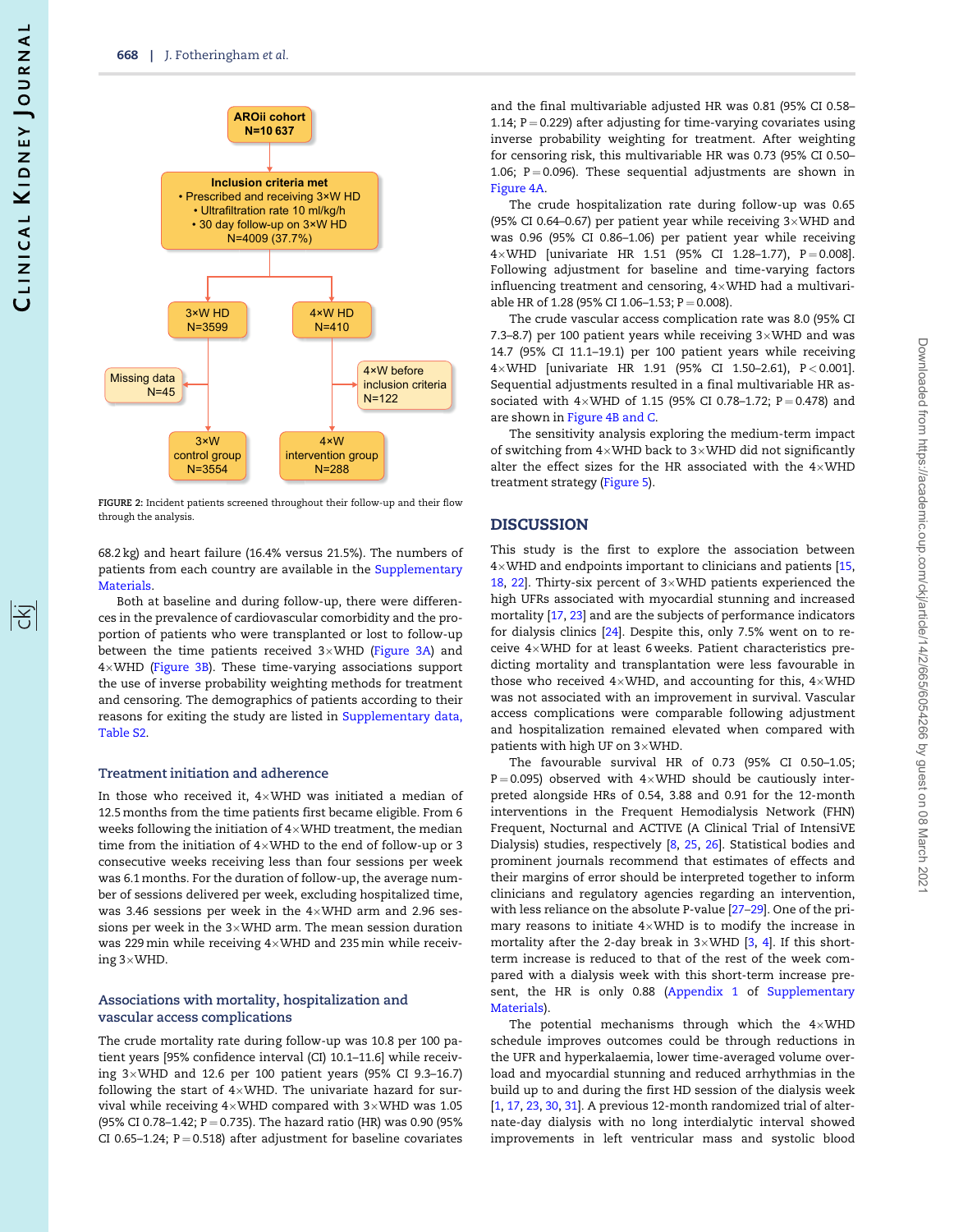<span id="page-3-0"></span>

FIGURE 2: Incident patients screened throughout their follow-up and their flow through the analysis.

68.2 kg) and heart failure (16.4% versus 21.5%). The numbers of patients from each country are available in the [Supplementary](https://academic.oup.com/ckjarticle-lookup/doi/10.1093/ckj/sfaa250#supplementary-data) [Materials](https://academic.oup.com/ckjarticle-lookup/doi/10.1093/ckj/sfaa250#supplementary-data).

Both at baseline and during follow-up, there were differences in the prevalence of cardiovascular comorbidity and the proportion of patients who were transplanted or lost to follow-up between the time patients received 3×WHD [\(Figure 3A\)](#page-4-0) and 4-WHD ([Figure 3B](#page-4-0)). These time-varying associations support the use of inverse probability weighting methods for treatment and censoring. The demographics of patients according to their reasons for exiting the study are listed in [Supplementary data,](https://academic.oup.com/ckjarticle-lookup/doi/10.1093/ckj/sfaa250#supplementary-data) [Table S2.](https://academic.oup.com/ckjarticle-lookup/doi/10.1093/ckj/sfaa250#supplementary-data)

#### Treatment initiation and adherence

In those who received it,  $4{\times}$ WHD was initiated a median of 12.5 months from the time patients first became eligible. From 6 weeks following the initiation of  $4{\times}$ WHD treatment, the median time from the initiation of  $4{\times}$ WHD to the end of follow-up or 3 consecutive weeks receiving less than four sessions per week was 6.1 months. For the duration of follow-up, the average number of sessions delivered per week, excluding hospitalized time, was 3.46 sessions per week in the  $4{\times}$ WHD arm and 2.96 sessions per week in the 3 $\times$ WHD arm. The mean session duration was 229 $\,\mathrm{min}\,$  while receiving 4 $\times$ WHD and 235 $\,\mathrm{min}\,$  while receiving 3 $\times$ WHD.

### Associations with mortality, hospitalization and vascular access complications

The crude mortality rate during follow-up was 10.8 per 100 patient years [95% confidence interval (CI) 10.1–11.6] while receiving 3-WHD and 12.6 per 100 patient years (95% CI 9.3–16.7) following the start of  $4\times$ WHD. The univariate hazard for survival while receiving  $4\!\times\!$ WHD compared with  $3\!\times\!$ WHD was 1.05 (95% CI 0.78-1.42; P = 0.735). The hazard ratio (HR) was 0.90 (95% CI 0.65-1.24;  $P = 0.518$ ) after adjustment for baseline covariates and the final multivariable adjusted HR was 0.81 (95% CI 0.58– 1.14;  $P = 0.229$ ) after adjusting for time-varying covariates using inverse probability weighting for treatment. After weighting for censoring risk, this multivariable HR was 0.73 (95% CI 0.50– 1.06;  $P = 0.096$ ). These sequential adjustments are shown in [Figure 4A](#page-4-0).

The crude hospitalization rate during follow-up was 0.65 (95% CI 0.64–0.67) per patient year while receiving  $3\times$  WHD and was 0.96 (95% CI 0.86–1.06) per patient year while receiving  $4\times$ WHD [univariate HR 1.51 (95% CI 1.28–1.77), P  $=$  0.008]. Following adjustment for baseline and time-varying factors influencing treatment and censoring,  $4\times$ WHD had a multivariable HR of 1.28 (95% CI 1.06-1.53;  $P = 0.008$ ).

The crude vascular access complication rate was 8.0 (95% CI 7.3–8.7) per 100 patient years while receiving  $3\times$ WHD and was 14.7 (95% CI 11.1–19.1) per 100 patient years while receiving 4-WHD [univariate HR 1.91 (95% CI 1.50–2.61), P < 0.001]. Sequential adjustments resulted in a final multivariable HR associated with  $4\times$ WHD of 1.15 (95% CI 0.78–1.72; P=0.478) and are shown in [Figure 4B and C.](#page-4-0)

The sensitivity analysis exploring the medium-term impact of switching from  $4\times$ WHD back to 3 $\times$ WHD did not significantly alter the effect sizes for the HR associated with the  $4\times$ WHD treatment strategy ([Figure 5](#page-4-0)).

#### DISCUSSION

This study is the first to explore the association between  $4\times$ WHD and endpoints important to clinicians and patients [[15](#page-6-0), [18](#page-6-0), [22\]](#page-6-0). Thirty-six percent of  $3\times$ WHD patients experienced the high UFRs associated with myocardial stunning and increased mortality [[17,](#page-6-0) [23](#page-6-0)] and are the subjects of performance indicators for dialysis clinics [[24](#page-6-0)]. Despite this, only 7.5% went on to receive  $4\times$ WHD for at least 6 weeks. Patient characteristics predicting mortality and transplantation were less favourable in those who received  $4\times$ WHD, and accounting for this,  $4\times$ WHD was not associated with an improvement in survival. Vascular access complications were comparable following adjustment and hospitalization remained elevated when compared with patients with high UF on  $3\times$ WHD.

The favourable survival HR of 0.73 (95% CI 0.50–1.05;  $P = 0.095$ ) observed with  $4 \times WHD$  should be cautiously interpreted alongside HRs of 0.54, 3.88 and 0.91 for the 12-month interventions in the Frequent Hemodialysis Network (FHN) Frequent, Nocturnal and ACTIVE (A Clinical Trial of IntensiVE Dialysis) studies, respectively [\[8,](#page-6-0) [25,](#page-6-0) [26](#page-6-0)]. Statistical bodies and prominent journals recommend that estimates of effects and their margins of error should be interpreted together to inform clinicians and regulatory agencies regarding an intervention, with less reliance on the absolute P-value [[27–29](#page-6-0)]. One of the primary reasons to initiate  $4\times$ WHD is to modify the increase in mortality after the 2-day break in  $3\times$ WHD [\[3](#page-6-0), [4\]](#page-6-0). If this shortterm increase is reduced to that of the rest of the week compared with a dialysis week with this short-term increase present, the HR is only 0.88 (Appendix 1 of [Supplementary](https://academic.oup.com/ckjarticle-lookup/doi/10.1093/ckj/sfaa250#supplementary-data) [Materials](https://academic.oup.com/ckjarticle-lookup/doi/10.1093/ckj/sfaa250#supplementary-data)).

The potential mechanisms through which the  $4\times$ WHD schedule improves outcomes could be through reductions in the UFR and hyperkalaemia, lower time-averaged volume overload and myocardial stunning and reduced arrhythmias in the build up to and during the first HD session of the dialysis week [\[1,](#page-6-0) [17,](#page-6-0) [23](#page-6-0), [30,](#page-6-0) [31\]](#page-6-0). A previous 12-month randomized trial of alternate-day dialysis with no long interdialytic interval showed improvements in left ventricular mass and systolic blood

阁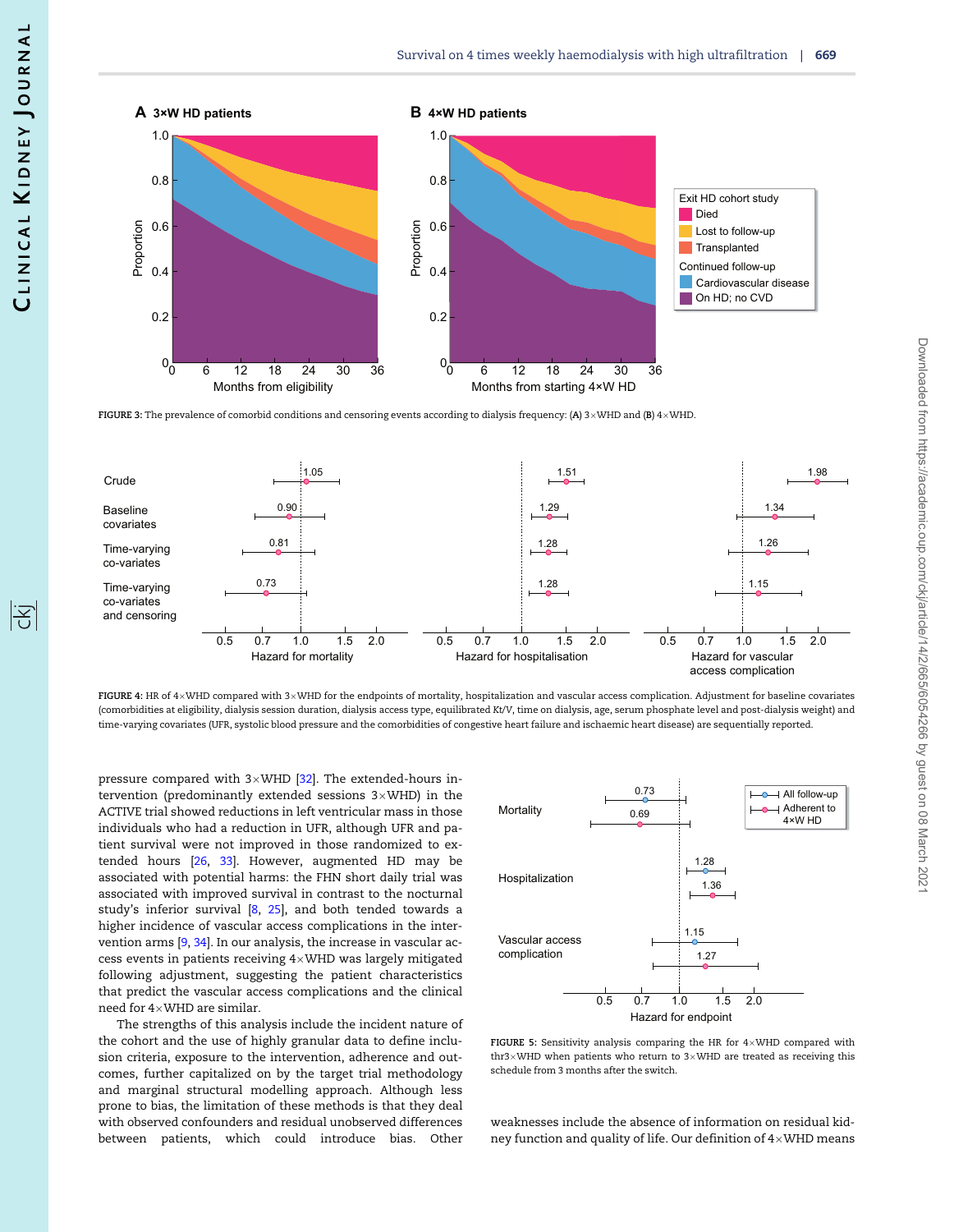<span id="page-4-0"></span>

**FIGURE 3:** The prevalence of comorbid conditions and censoring events according to dialysis frequency: (**A**) 3×WHD and (**B**) 4×WHD.



**FIGURE 4**: HR of 4×WHD compared with 3×WHD for the endpoints of mortality, hospitalization and vascular access complication. Adjustment for baseline covariates (comorbidities at eligibility, dialysis session duration, dialysis access type, equilibrated Kt/V, time on dialysis, age, serum phosphate level and post-dialysis weight) and time-varying covariates (UFR, systolic blood pressure and the comorbidities of congestive heart failure and ischaemic heart disease) are sequentially reported.

pressure compared with 3 $\times$ WHD [\[32\]](#page-7-0). The extended-hours intervention (predominantly extended sessions 3 $\times$ WHD) in the ACTIVE trial showed reductions in left ventricular mass in those individuals who had a reduction in UFR, although UFR and patient survival were not improved in those randomized to extended hours [[26,](#page-6-0) [33](#page-7-0)]. However, augmented HD may be associated with potential harms: the FHN short daily trial was associated with improved survival in contrast to the nocturnal study's inferior survival [[8,](#page-6-0) [25](#page-6-0)], and both tended towards a higher incidence of vascular access complications in the intervention arms [\[9](#page-6-0), [34\]](#page-7-0). In our analysis, the increase in vascular access events in patients receiving  $4{\times}$ WHD was largely mitigated following adjustment, suggesting the patient characteristics that predict the vascular access complications and the clinical need for  $4{\times}$ WHD are similar.

The strengths of this analysis include the incident nature of the cohort and the use of highly granular data to define inclusion criteria, exposure to the intervention, adherence and outcomes, further capitalized on by the target trial methodology and marginal structural modelling approach. Although less prone to bias, the limitation of these methods is that they deal with observed confounders and residual unobserved differences between patients, which could introduce bias. Other



**FIGURE 5:** Sensitivity analysis comparing the HR for  $4\times$ WHD compared with thr3×WHD when patients who return to 3×WHD are treated as receiving this schedule from 3 months after the switch.

weaknesses include the absence of information on residual kidney function and quality of life. Our definition of  $4{\times}$ WHD means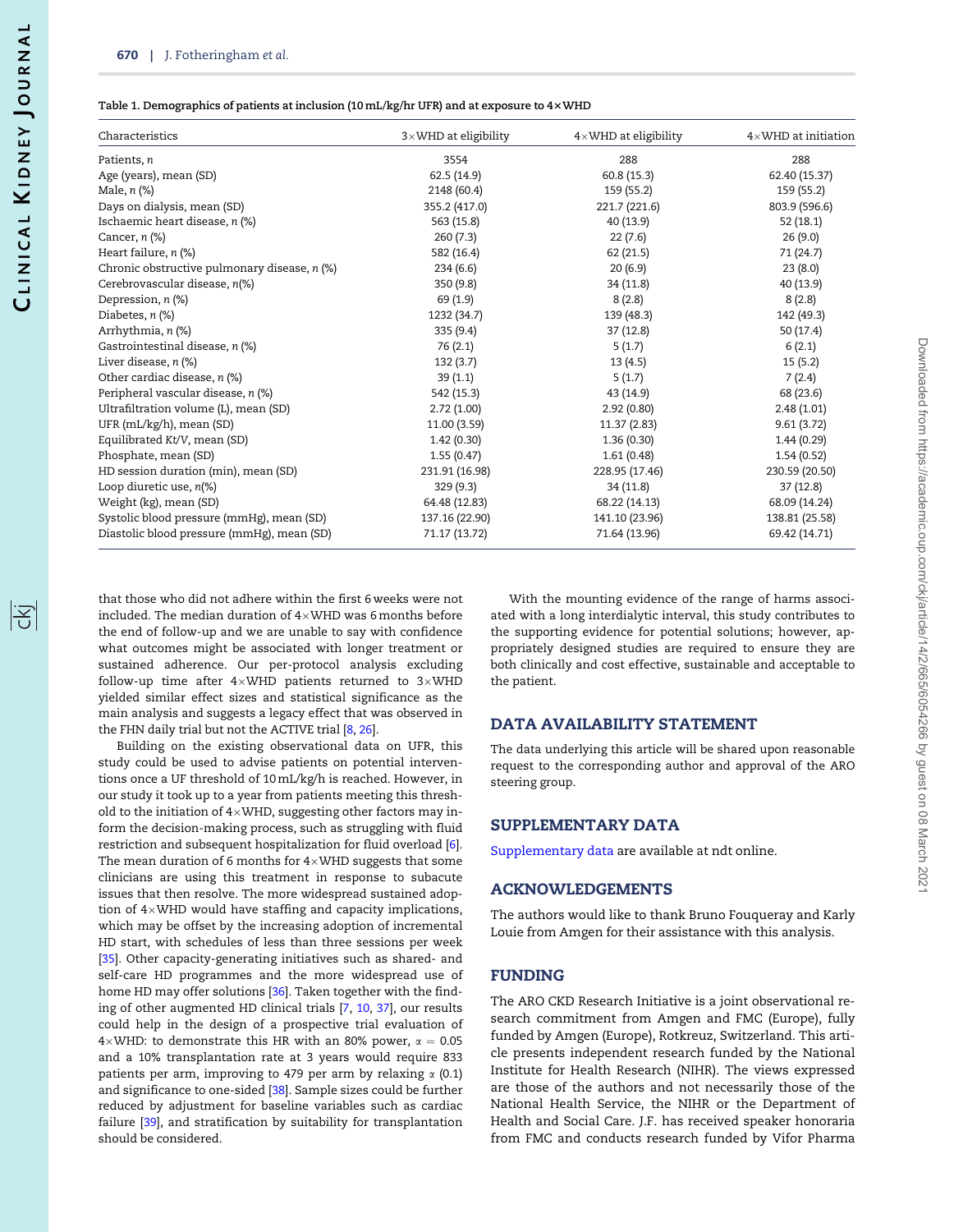<span id="page-5-0"></span>

| Characteristics                              | $3\times$ WHD at eligibility | $4\times$ WHD at eligibility | $4\times$ WHD at initiation |
|----------------------------------------------|------------------------------|------------------------------|-----------------------------|
| Patients, n                                  | 3554                         | 288                          | 288                         |
| Age (years), mean (SD)                       | 62.5(14.9)                   | 60.8(15.3)                   | 62.40 (15.37)               |
| Male, $n$ $%$                                | 2148 (60.4)                  | 159 (55.2)                   | 159 (55.2)                  |
| Days on dialysis, mean (SD)                  | 355.2 (417.0)                | 221.7 (221.6)                | 803.9 (596.6)               |
| Ischaemic heart disease, n (%)               | 563 (15.8)                   | 40 (13.9)                    | 52(18.1)                    |
| Cancer, $n$ $%$                              | 260(7.3)                     | 22(7.6)                      | 26(9.0)                     |
| Heart failure, $n$ (%)                       | 582 (16.4)                   | 62 (21.5)                    | 71 (24.7)                   |
| Chronic obstructive pulmonary disease, n (%) | 234(6.6)                     | 20(6.9)                      | 23(8.0)                     |
| Cerebrovascular disease, n(%)                | 350 (9.8)                    | 34 (11.8)                    | 40 (13.9)                   |
| Depression, n (%)                            | 69 (1.9)                     | 8(2.8)                       | 8(2.8)                      |
| Diabetes, $n$ (%)                            | 1232 (34.7)                  | 139 (48.3)                   | 142 (49.3)                  |
| Arrhythmia, n (%)                            | 335(9.4)                     | 37(12.8)                     | 50 (17.4)                   |
| Gastrointestinal disease, n (%)              | 76 (2.1)                     | 5(1.7)                       | 6(2.1)                      |
| Liver disease, $n$ (%)                       | 132(3.7)                     | 13(4.5)                      | 15(5.2)                     |
| Other cardiac disease, n (%)                 | 39(1.1)                      | 5(1.7)                       | 7(2.4)                      |
| Peripheral vascular disease, n (%)           | 542 (15.3)                   | 43 (14.9)                    | 68 (23.6)                   |
| Ultrafiltration volume (L), mean (SD)        | 2.72(1.00)                   | 2.92(0.80)                   | 2.48(1.01)                  |
| UFR (mL/kg/h), mean (SD)                     | 11.00 (3.59)                 | 11.37 (2.83)                 | 9.61(3.72)                  |
| Equilibrated Kt/V, mean (SD)                 | 1.42(0.30)                   | 1.36(0.30)                   | 1.44(0.29)                  |
| Phosphate, mean (SD)                         | 1.55(0.47)                   | 1.61(0.48)                   | 1.54(0.52)                  |
| HD session duration (min), mean (SD)         | 231.91 (16.98)               | 228.95 (17.46)               | 230.59 (20.50)              |
| Loop diuretic use, $n$ <sup>(%)</sup>        | 329(9.3)                     | 34(11.8)                     | 37(12.8)                    |
| Weight (kg), mean (SD)                       | 64.48 (12.83)                | 68.22 (14.13)                | 68.09 (14.24)               |
| Systolic blood pressure (mmHg), mean (SD)    | 137.16 (22.90)               | 141.10 (23.96)               | 138.81 (25.58)              |
| Diastolic blood pressure (mmHg), mean (SD)   | 71.17 (13.72)                | 71.64 (13.96)                | 69.42 (14.71)               |

that those who did not adhere within the first 6 weeks were not included. The median duration of  $4{\times}$ WHD was 6 $months before$ the end of follow-up and we are unable to say with confidence what outcomes might be associated with longer treatment or sustained adherence. Our per-protocol analysis excluding follow-up time after  $4{\times}$ WHD patients returned to 3 ${\times}$ WHD yielded similar effect sizes and statistical significance as the main analysis and suggests a legacy effect that was observed in the FHN daily trial but not the ACTIVE trial [[8,](#page-6-0) [26](#page-6-0)].

Building on the existing observational data on UFR, this study could be used to advise patients on potential interventions once a UF threshold of 10 mL/kg/h is reached. However, in our study it took up to a year from patients meeting this threshold to the initiation of 4 $\times$ WHD, suggesting other factors may inform the decision-making process, such as struggling with fluid restriction and subsequent hospitalization for fluid overload [[6\]](#page-6-0). The mean duration of 6 months for  $4\times$ WHD suggests that some clinicians are using this treatment in response to subacute issues that then resolve. The more widespread sustained adoption of  $4\times$ WHD would have staffing and capacity implications, which may be offset by the increasing adoption of incremental HD start, with schedules of less than three sessions per week [\[35\]](#page-7-0). Other capacity-generating initiatives such as shared- and self-care HD programmes and the more widespread use of home HD may offer solutions [[36](#page-7-0)]. Taken together with the finding of other augmented HD clinical trials [\[7](#page-6-0), [10](#page-6-0), [37](#page-7-0)], our results could help in the design of a prospective trial evaluation of 4 $\times$ WHD: to demonstrate this HR with an 80% power,  $\alpha=$  0.05 and a 10% transplantation rate at 3 years would require 833 patients per arm, improving to 479 per arm by relaxing  $\alpha$  (0.1) and significance to one-sided [[38](#page-7-0)]. Sample sizes could be further reduced by adjustment for baseline variables such as cardiac failure [\[39\]](#page-7-0), and stratification by suitability for transplantation should be considered.

With the mounting evidence of the range of harms associated with a long interdialytic interval, this study contributes to the supporting evidence for potential solutions; however, appropriately designed studies are required to ensure they are both clinically and cost effective, sustainable and acceptable to the patient.

## DATA AVAILABILITY STATEMENT

The data underlying this article will be shared upon reasonable request to the corresponding author and approval of the ARO steering group.

#### SUPPLEMENTARY DATA

[Supplementary data](https://academic.oup.com/ckjarticle-lookup/doi/10.1093/ckj/sfaa250#supplementary-data) are available at ndt online.

#### ACKNOWLEDGEMENTS

The authors would like to thank Bruno Fouqueray and Karly Louie from Amgen for their assistance with this analysis.

## FUNDING

The ARO CKD Research Initiative is a joint observational research commitment from Amgen and FMC (Europe), fully funded by Amgen (Europe), Rotkreuz, Switzerland. This article presents independent research funded by the National Institute for Health Research (NIHR). The views expressed are those of the authors and not necessarily those of the National Health Service, the NIHR or the Department of Health and Social Care. J.F. has received speaker honoraria from FMC and conducts research funded by Vifor Pharma

阁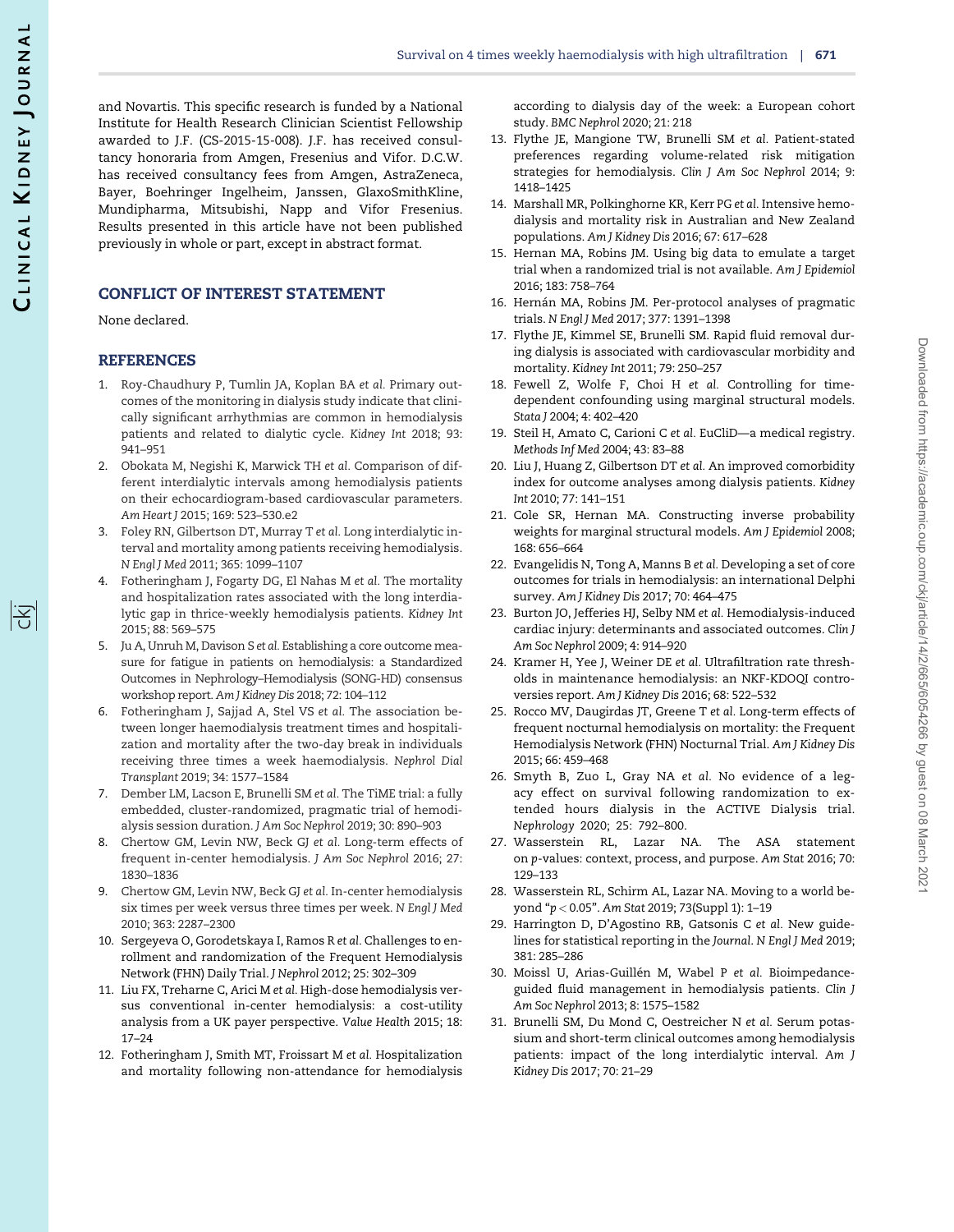<span id="page-6-0"></span>and Novartis. This specific research is funded by a National Institute for Health Research Clinician Scientist Fellowship awarded to J.F. (CS-2015-15-008). J.F. has received consultancy honoraria from Amgen, Fresenius and Vifor. D.C.W. has received consultancy fees from Amgen, AstraZeneca, Bayer, Boehringer Ingelheim, Janssen, GlaxoSmithKline, Mundipharma, Mitsubishi, Napp and Vifor Fresenius. Results presented in this article have not been published previously in whole or part, except in abstract format.

## CONFLICT OF INTEREST STATEMENT

None declared.

#### REFERENCES

- [1](#page-1-0). Roy-Chaudhury P, Tumlin JA, Koplan BA et al. Primary outcomes of the monitoring in dialysis study indicate that clinically significant arrhythmias are common in hemodialysis patients and related to dialytic cycle. Kidney Int 2018; 93: 941–951
- [2](#page-1-0). Obokata M, Negishi K, Marwick TH et al. Comparison of different interdialytic intervals among hemodialysis patients on their echocardiogram-based cardiovascular parameters. Am Heart J 2015; 169: 523–530.e2
- [3](#page-3-0). Foley RN, Gilbertson DT, Murray T et al. Long interdialytic interval and mortality among patients receiving hemodialysis. N Engl J Med 2011; 365: 1099–1107
- [4](#page-3-0). Fotheringham J, Fogarty DG, El Nahas M et al. The mortality and hospitalization rates associated with the long interdialytic gap in thrice-weekly hemodialysis patients. Kidney Int 2015; 88: 569–575
- 5. Ju A, Unruh M, Davison S et al. Establishing a core outcome measure for fatigue in patients on hemodialysis: a Standardized Outcomes in Nephrology–Hemodialysis (SONG-HD) consensus workshop report. Am J Kidney Dis 2018; 72: 104–112
- [6](#page-1-0). Fotheringham J, Sajjad A, Stel VS et al. The association between longer haemodialysis treatment times and hospitalization and mortality after the two-day break in individuals receiving three times a week haemodialysis. Nephrol Dial Transplant 2019; 34: 1577–1584
- [7](#page-1-0). Dember LM, Lacson E, Brunelli SM et al. The TiME trial: a fully embedded, cluster-randomized, pragmatic trial of hemodialysis session duration. J Am Soc Nephrol 2019; 30: 890–903
- [8](#page-3-0). Chertow GM, Levin NW, Beck GJ et al. Long-term effects of frequent in-center hemodialysis. J Am Soc Nephrol 2016; 27: 1830–1836
- [9](#page-4-0). Chertow GM, Levin NW, Beck GJ et al. In-center hemodialysis six times per week versus three times per week. N Engl J Med 2010; 363: 2287–2300
- [10](#page-5-0). Sergeyeva O, Gorodetskaya I, Ramos R et al. Challenges to enrollment and randomization of the Frequent Hemodialysis Network (FHN) Daily Trial. J Nephrol 2012; 25: 302–309
- 11. Liu FX, Treharne C, Arici M et al. High-dose hemodialysis versus conventional in-center hemodialysis: a cost-utility analysis from a UK payer perspective. Value Health 2015; 18: 17–24
- [12](#page-1-0). Fotheringham J, Smith MT, Froissart M et al. Hospitalization and mortality following non-attendance for hemodialysis

according to dialysis day of the week: a European cohort study. BMC Nephrol 2020; 21: 218

- [13](#page-1-0). Flythe JE, Mangione TW, Brunelli SM et al. Patient-stated preferences regarding volume-related risk mitigation strategies for hemodialysis. Clin J Am Soc Nephrol 2014; 9: 1418–1425
- [14](#page-1-0). Marshall MR, Polkinghorne KR, Kerr PG et al. Intensive hemodialysis and mortality risk in Australian and New Zealand populations. Am J Kidney Dis 2016; 67: 617–628
- [15](#page-1-0). Hernan MA, Robins JM. Using big data to emulate a target trial when a randomized trial is not available. Am J Epidemiol 2016; 183: 758–764
- [16](#page-1-0). Hernán MA, Robins JM. Per-protocol analyses of pragmatic trials. N Engl J Med 2017; 377: 1391–1398
- [17](#page-1-0). Flythe JE, Kimmel SE, Brunelli SM. Rapid fluid removal during dialysis is associated with cardiovascular morbidity and mortality. Kidney Int 2011; 79: 250–257
- [18](#page-1-0). Fewell Z, Wolfe F, Choi H et al. Controlling for timedependent confounding using marginal structural models. Stata J 2004; 4: 402–420
- [19](#page-1-0). Steil H, Amato C, Carioni C et al. EuCliD—a medical registry. Methods Inf Med 2004; 43: 83–88
- [20](#page-1-0). Liu J, Huang Z, Gilbertson DT et al. An improved comorbidity index for outcome analyses among dialysis patients. Kidney Int 2010; 77: 141–151
- [21](#page-2-0). Cole SR, Hernan MA. Constructing inverse probability weights for marginal structural models. Am J Epidemiol 2008; 168: 656–664
- [22](#page-3-0). Evangelidis N, Tong A, Manns B et al. Developing a set of core outcomes for trials in hemodialysis: an international Delphi survey. Am J Kidney Dis 2017; 70: 464–475
- [23](#page-3-0). Burton JO, Jefferies HJ, Selby NM et al. Hemodialysis-induced cardiac injury: determinants and associated outcomes. Clin J Am Soc Nephrol 2009; 4: 914–920
- [24](#page-3-0). Kramer H, Yee J, Weiner DE et al. Ultrafiltration rate thresholds in maintenance hemodialysis: an NKF-KDOQI controversies report. Am J Kidney Dis 2016; 68: 522–532
- [25](#page-3-0). Rocco MV, Daugirdas JT, Greene T et al. Long-term effects of frequent nocturnal hemodialysis on mortality: the Frequent Hemodialysis Network (FHN) Nocturnal Trial. Am J Kidney Dis 2015; 66: 459–468
- [26](#page-3-0). Smyth B, Zuo L, Gray NA et al. No evidence of a legacy effect on survival following randomization to extended hours dialysis in the ACTIVE Dialysis trial. Nephrology 2020; 25: 792–800.
- 27. Wasserstein RL, Lazar NA. The ASA statement on p-values: context, process, and purpose. Am Stat 2016; 70: 129–133
- 28. Wasserstein RL, Schirm AL, Lazar NA. Moving to a world beyond "p < 0.05". Am Stat 2019; 73(Suppl 1): 1–19
- 29. Harrington D, D'Agostino RB, Gatsonis C et al. New guidelines for statistical reporting in the Journal. N Engl J Med 2019; 381: 285–286
- [30](#page-3-0). Moissl U, Arias-Guillén M, Wabel P et al. Bioimpedanceguided fluid management in hemodialysis patients. Clin J Am Soc Nephrol 2013; 8: 1575–1582
- [31](#page-3-0). Brunelli SM, Du Mond C, Oestreicher N et al. Serum potassium and short-term clinical outcomes among hemodialysis patients: impact of the long interdialytic interval. Am J Kidney Dis 2017; 70: 21–29